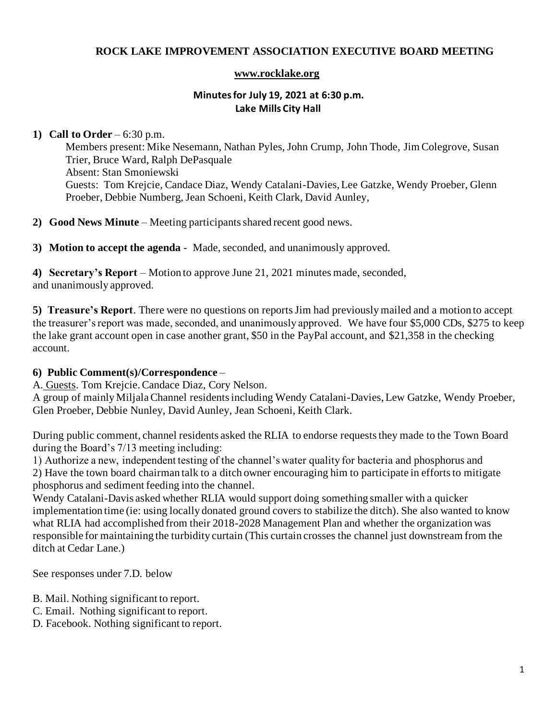## **ROCK LAKE IMPROVEMENT ASSOCIATION EXECUTIVE BOARD MEETING**

#### **[www.rocklake.org](http://www.rocklake.org/)**

#### **Minutes for July 19, 2021 at 6:30 p.m. Lake Mills City Hall**

#### **1) Call to Order** – 6:30 p.m.

Members present: Mike Nesemann, Nathan Pyles, John Crump, John Thode, Jim Colegrove, Susan Trier, Bruce Ward, Ralph DePasquale Absent: Stan Smoniewski Guests: Tom Krejcie, Candace Diaz, Wendy Catalani-Davies, Lee Gatzke, Wendy Proeber, Glenn Proeber, Debbie Numberg, Jean Schoeni, Keith Clark, David Aunley,

**2) Good News Minute** – Meeting participants shared recent good news.

**3) Motion to accept the agenda** - Made, seconded, and unanimously approved.

**4) Secretary's Report** – Motion to approve June 21, 2021 minutes made, seconded, and unanimously approved.

**5) Treasure's Report**. There were no questions on reports Jim had previously mailed and a motion to accept the treasurer's report was made, seconded, and unanimously approved. We have four \$5,000 CDs, \$275 to keep the lake grant account open in case another grant, \$50 in the PayPal account, and \$21,358 in the checking account.

## **6) Public Comment(s)/Correspondence** –

A. Guests. Tom Krejcie.Candace Diaz, Cory Nelson.

A group of mainly Miljala Channel residents including Wendy Catalani-Davies, Lew Gatzke, Wendy Proeber, Glen Proeber, Debbie Nunley, David Aunley, Jean Schoeni, Keith Clark.

During public comment, channel residents asked the RLIA to endorse requests they made to the Town Board during the Board's 7/13 meeting including:

1) Authorize a new, independent testing of the channel's water quality for bacteria and phosphorus and 2) Have the town board chairman talk to a ditch owner encouraging him to participate in efforts to mitigate phosphorus and sediment feeding into the channel.

Wendy Catalani-Davis asked whether RLIA would support doing something smaller with a quicker implementation time (ie: using locally donated ground covers to stabilize the ditch). She also wanted to know what RLIA had accomplished from their 2018-2028 Management Plan and whether the organization was responsible for maintaining the turbidity curtain (This curtain crosses the channel just downstream from the ditch at Cedar Lane.)

See responses under 7.D. below

- B. Mail. Nothing significant to report.
- C. Email. Nothing significant to report.
- D. Facebook. Nothing significant to report.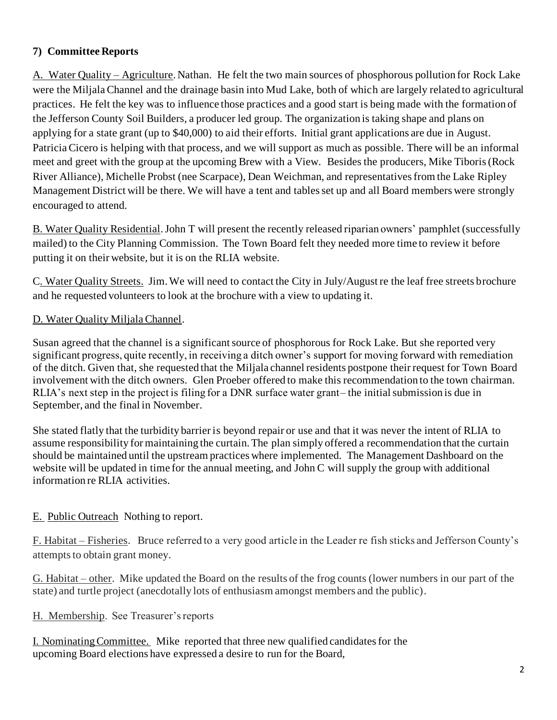# **7) Committee Reports**

A. Water Quality – Agriculture. Nathan. He felt the two main sources of phosphorous pollution for Rock Lake were the Miljala Channel and the drainage basin into Mud Lake, both of which are largely related to agricultural practices. He felt the key was to influence those practices and a good start is being made with the formation of the Jefferson County Soil Builders, a producer led group. The organization is taking shape and plans on applying for a state grant (up to \$40,000) to aid their efforts. Initial grant applications are due in August. Patricia Cicero is helping with that process, and we will support as much as possible. There will be an informal meet and greet with the group at the upcoming Brew with a View. Besides the producers, Mike Tiboris (Rock River Alliance), Michelle Probst (nee Scarpace), Dean Weichman, and representatives from the Lake Ripley Management District will be there. We will have a tent and tables set up and all Board members were strongly encouraged to attend.

B. Water Quality Residential. John T will present the recently released riparian owners' pamphlet (successfully mailed) to the City Planning Commission. The Town Board felt they needed more time to review it before putting it on their website, but it is on the RLIA website.

C. Water Quality Streets. Jim. We will need to contact the City in July/August re the leaf free streets brochure and he requested volunteers to look at the brochure with a view to updating it.

## D. Water Quality Miljala Channel.

Susan agreed that the channel is a significant source of phosphorous for Rock Lake. But she reported very significant progress, quite recently, in receiving a ditch owner's support for moving forward with remediation of the ditch. Given that, she requested that the Miljala channel residents postpone their request for Town Board involvement with the ditch owners. Glen Proeber offered to make this recommendation to the town chairman. RLIA's next step in the project is filing for a DNR surface water grant– the initial submission is due in September, and the final in November.

She stated flatly that the turbidity barrier is beyond repair or use and that it was never the intent of RLIA to assume responsibility for maintaining the curtain. The plan simply offered a recommendation that the curtain should be maintained until the upstream practices where implemented. The Management Dashboard on the website will be updated in time for the annual meeting, and John C will supply the group with additional information re RLIA activities.

## E. Public Outreach Nothing to report.

F. Habitat – Fisheries. Bruce referred to a very good article in the Leader re fish sticks and Jefferson County's attempts to obtain grant money.

G. Habitat – other. Mike updated the Board on the results of the frog counts (lower numbers in our part of the state) and turtle project (anecdotally lots of enthusiasm amongst members and the public).

H. Membership. See Treasurer's reports

I. Nominating Committee. Mike reported that three new qualified candidates for the upcoming Board elections have expressed a desire to run for the Board,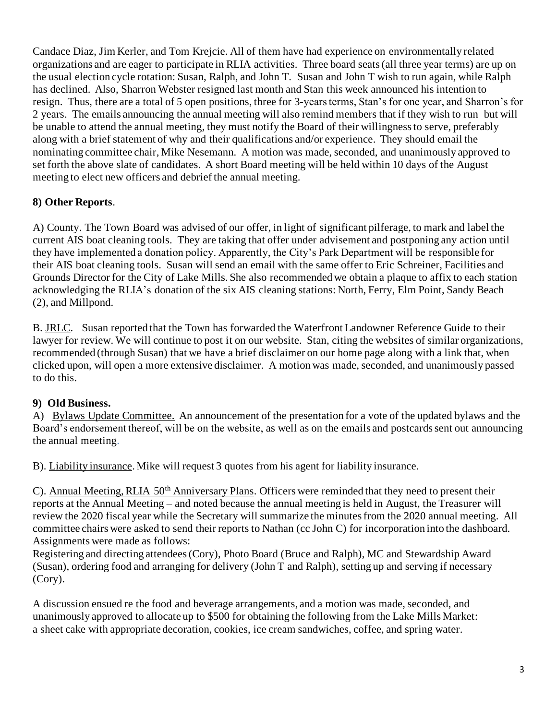Candace Diaz, Jim Kerler, and Tom Krejcie. All of them have had experience on environmentally related organizations and are eager to participate in RLIA activities. Three board seats (all three year terms) are up on the usual election cycle rotation: Susan, Ralph, and John T. Susan and John T wish to run again, while Ralph has declined. Also, Sharron Webster resigned last month and Stan this week announced his intention to resign. Thus, there are a total of 5 open positions, three for 3-years terms, Stan's for one year, and Sharron's for 2 years. The emails announcing the annual meeting will also remind members that if they wish to run but will be unable to attend the annual meeting, they must notify the Board of their willingness to serve, preferably along with a brief statement of why and their qualifications and/or experience. They should email the nominating committee chair, Mike Nesemann. A motion was made, seconded, and unanimously approved to set forth the above slate of candidates. A short Board meeting will be held within 10 days of the August meeting to elect new officers and debrief the annual meeting.

# **8) Other Reports**.

A) County. The Town Board was advised of our offer, in light of significant pilferage, to mark and label the current AIS boat cleaning tools. They are taking that offer under advisement and postponing any action until they have implemented a donation policy. Apparently, the City's Park Department will be responsible for their AIS boat cleaning tools. Susan will send an email with the same offer to Eric Schreiner, Facilities and Grounds Director for the City of Lake Mills. She also recommended we obtain a plaque to affix to each station acknowledging the RLIA's donation of the six AIS cleaning stations: North, Ferry, Elm Point, Sandy Beach (2), and Millpond.

B. JRLC. Susan reported that the Town has forwarded the Waterfront Landowner Reference Guide to their lawyer for review. We will continue to post it on our website. Stan, citing the websites of similar organizations, recommended (through Susan) that we have a brief disclaimer on our home page along with a link that, when clicked upon, will open a more extensive disclaimer. A motion was made, seconded, and unanimously passed to do this.

## **9) Old Business.**

A) Bylaws Update Committee. An announcement of the presentation for a vote of the updated bylaws and the Board's endorsement thereof, will be on the website, as well as on the emails and postcards sent out announcing the annual meeting.

B). Liability insurance. Mike will request 3 quotes from his agent for liability insurance.

C). Annual Meeting, RLIA 50<sup>th</sup> Anniversary Plans. Officers were reminded that they need to present their reports at the Annual Meeting – and noted because the annual meeting is held in August, the Treasurer will review the 2020 fiscal year while the Secretary will summarize the minutes from the 2020 annual meeting. All committee chairs were asked to send their reports to Nathan (cc John C) for incorporation into the dashboard. Assignments were made as follows:

Registering and directing attendees (Cory), Photo Board (Bruce and Ralph), MC and Stewardship Award (Susan), ordering food and arranging for delivery (John T and Ralph), setting up and serving if necessary (Cory).

A discussion ensued re the food and beverage arrangements, and a motion was made, seconded, and unanimously approved to allocate up to \$500 for obtaining the following from the Lake Mills Market: a sheet cake with appropriate decoration, cookies, ice cream sandwiches, coffee, and spring water.